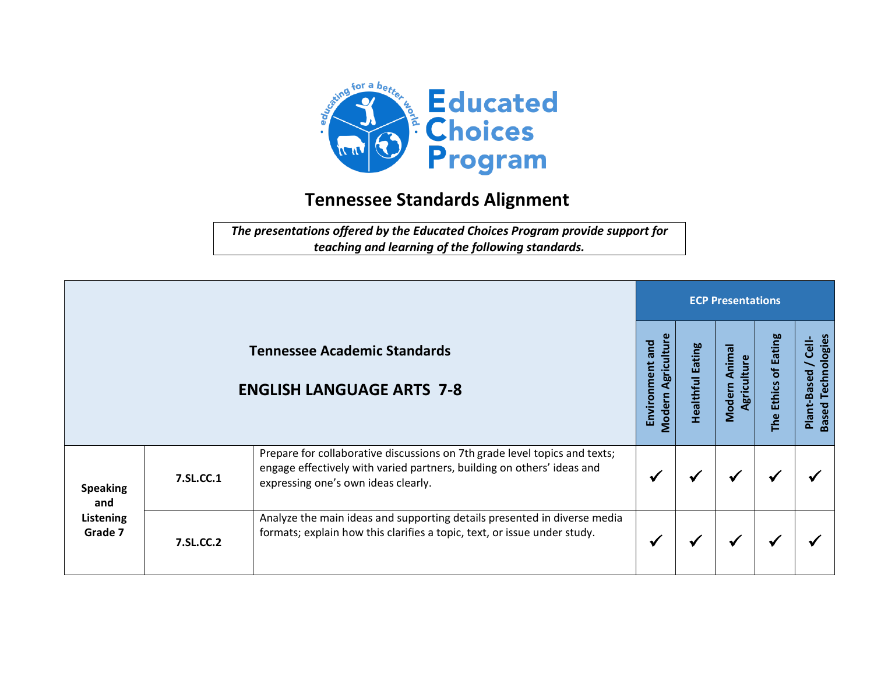

## **Tennessee Standards Alignment**

*The presentations offered by the Educated Choices Program provide support for teaching and learning of the following standards.*

|                                                |           |                                                                                                                                                                                             | <b>ECP Presentations</b>                    |                            |                                         |                                            |                                                   |  |  |
|------------------------------------------------|-----------|---------------------------------------------------------------------------------------------------------------------------------------------------------------------------------------------|---------------------------------------------|----------------------------|-----------------------------------------|--------------------------------------------|---------------------------------------------------|--|--|
|                                                |           | <b>Tennessee Academic Standards</b><br><b>ENGLISH LANGUAGE ARTS 7-8</b>                                                                                                                     | Agriculture<br>and<br>Environment<br>Modern | Eating<br><b>Healthful</b> | Animal<br>ၑ<br>Lui<br>Agricul<br>Modern | <b>Eating</b><br>ቴ<br><b>Ethics</b><br>The | <b>Based Technologies</b><br>Cell-<br>Plant-Based |  |  |
| <b>Speaking</b><br>and<br>Listening<br>Grade 7 | 7.SL.CC.1 | Prepare for collaborative discussions on 7th grade level topics and texts;<br>engage effectively with varied partners, building on others' ideas and<br>expressing one's own ideas clearly. |                                             |                            |                                         | ✔                                          |                                                   |  |  |
|                                                | 7.SL.CC.2 | Analyze the main ideas and supporting details presented in diverse media<br>formats; explain how this clarifies a topic, text, or issue under study.                                        |                                             |                            | ₩                                       | ✔                                          |                                                   |  |  |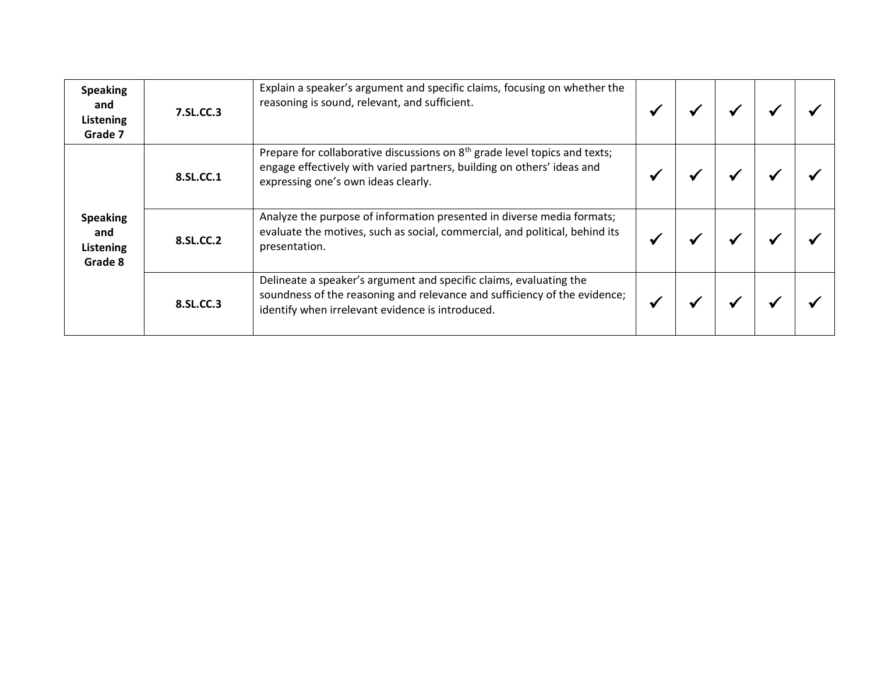| <b>Speaking</b><br>and<br>Listening<br>Grade 7 | 7.SL.CC.3 | Explain a speaker's argument and specific claims, focusing on whether the<br>reasoning is sound, relevant, and sufficient.                                                                              |  |  |  |
|------------------------------------------------|-----------|---------------------------------------------------------------------------------------------------------------------------------------------------------------------------------------------------------|--|--|--|
| <b>Speaking</b><br>and<br>Listening<br>Grade 8 | 8.SL.CC.1 | Prepare for collaborative discussions on 8 <sup>th</sup> grade level topics and texts;<br>engage effectively with varied partners, building on others' ideas and<br>expressing one's own ideas clearly. |  |  |  |
|                                                | 8.SL.CC.2 | Analyze the purpose of information presented in diverse media formats;<br>evaluate the motives, such as social, commercial, and political, behind its<br>presentation.                                  |  |  |  |
|                                                | 8.SL.CC.3 | Delineate a speaker's argument and specific claims, evaluating the<br>soundness of the reasoning and relevance and sufficiency of the evidence;<br>identify when irrelevant evidence is introduced.     |  |  |  |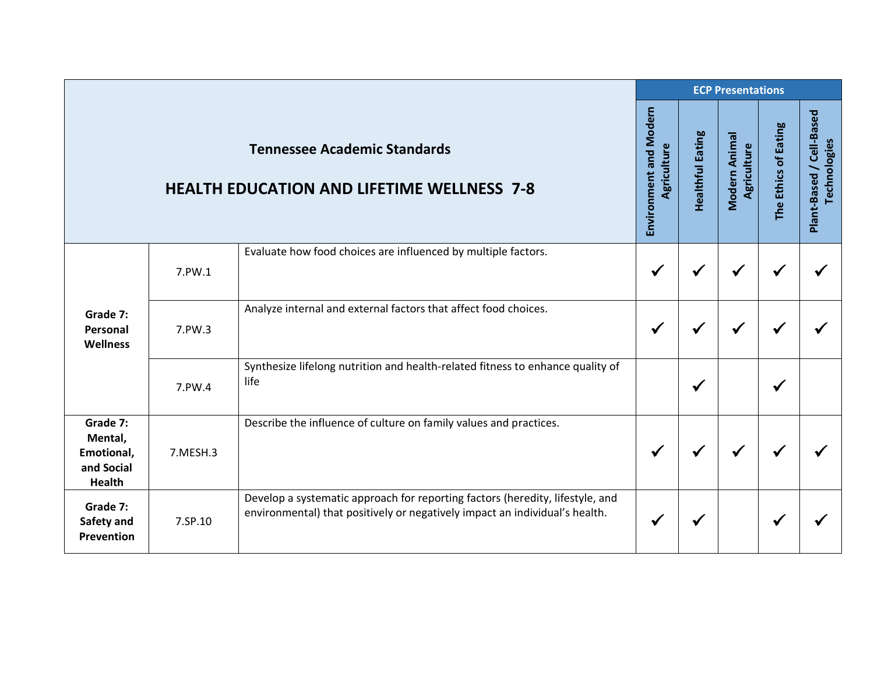|                                                                  |          |                                                                                                                                                              |                                       | <b>ECP Presentations</b> |                              |                      |                                          |  |  |  |
|------------------------------------------------------------------|----------|--------------------------------------------------------------------------------------------------------------------------------------------------------------|---------------------------------------|--------------------------|------------------------------|----------------------|------------------------------------------|--|--|--|
|                                                                  |          | <b>Tennessee Academic Standards</b><br><b>HEALTH EDUCATION AND LIFETIME WELLNESS 7-8</b>                                                                     | Environment and Modern<br>Agriculture | <b>Healthful Eating</b>  | Modern Animal<br>Agriculture | The Ethics of Eating | Plant-Based / Cell-Based<br>Technologies |  |  |  |
| Grade 7:<br>Personal<br><b>Wellness</b>                          | 7.PW.1   | Evaluate how food choices are influenced by multiple factors.                                                                                                | $\checkmark$                          | $\checkmark$             |                              |                      |                                          |  |  |  |
|                                                                  | 7.PW.3   | Analyze internal and external factors that affect food choices.                                                                                              | $\checkmark$                          | √                        |                              |                      |                                          |  |  |  |
|                                                                  | 7.PW.4   | Synthesize lifelong nutrition and health-related fitness to enhance quality of<br>life                                                                       |                                       | $\checkmark$             |                              |                      |                                          |  |  |  |
| Grade 7:<br>Mental,<br>Emotional,<br>and Social<br><b>Health</b> | 7.MESH.3 | Describe the influence of culture on family values and practices.                                                                                            | $\checkmark$                          | $\checkmark$             |                              |                      |                                          |  |  |  |
| Grade 7:<br>Safety and<br>Prevention                             | 7.SP.10  | Develop a systematic approach for reporting factors (heredity, lifestyle, and<br>environmental) that positively or negatively impact an individual's health. | ✔                                     | √                        |                              |                      |                                          |  |  |  |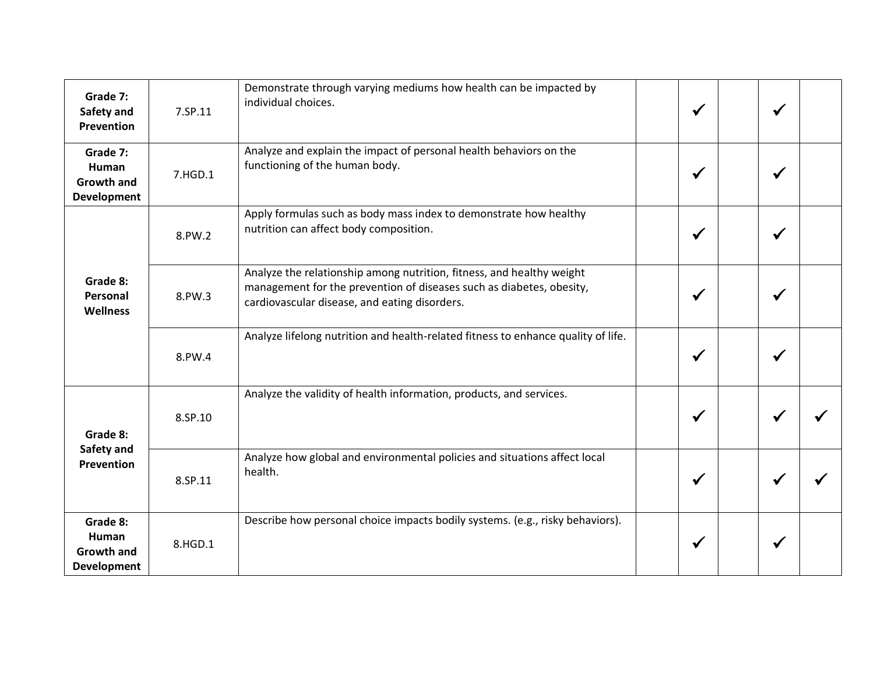| Grade 7:<br>Safety and<br><b>Prevention</b>                  | 7.SP.11 | Demonstrate through varying mediums how health can be impacted by<br>individual choices.                                                                                                       | $\checkmark$ | $\checkmark$ |  |
|--------------------------------------------------------------|---------|------------------------------------------------------------------------------------------------------------------------------------------------------------------------------------------------|--------------|--------------|--|
| Grade 7:<br>Human<br><b>Growth and</b><br><b>Development</b> | 7.HGD.1 | Analyze and explain the impact of personal health behaviors on the<br>functioning of the human body.                                                                                           | $\checkmark$ | √            |  |
| Grade 8:<br>Personal<br><b>Wellness</b>                      | 8.PW.2  | Apply formulas such as body mass index to demonstrate how healthy<br>nutrition can affect body composition.                                                                                    | $\checkmark$ |              |  |
|                                                              | 8.PW.3  | Analyze the relationship among nutrition, fitness, and healthy weight<br>management for the prevention of diseases such as diabetes, obesity,<br>cardiovascular disease, and eating disorders. | $\checkmark$ | $\checkmark$ |  |
|                                                              | 8.PW.4  | Analyze lifelong nutrition and health-related fitness to enhance quality of life.                                                                                                              | $\checkmark$ | $\checkmark$ |  |
| Grade 8:<br>Safety and<br>Prevention                         | 8.SP.10 | Analyze the validity of health information, products, and services.                                                                                                                            | $\checkmark$ | $\checkmark$ |  |
|                                                              | 8.SP.11 | Analyze how global and environmental policies and situations affect local<br>health.                                                                                                           | $\checkmark$ | ✔            |  |
| Grade 8:<br>Human<br><b>Growth and</b><br><b>Development</b> | 8.HGD.1 | Describe how personal choice impacts bodily systems. (e.g., risky behaviors).                                                                                                                  | $\checkmark$ |              |  |